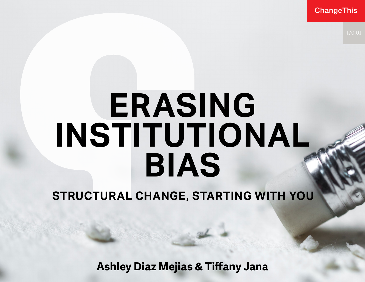**ChangeThis** 

# **ERASING INSTITUTIONAL BIAS**

**STRUCTURAL CHANGE, STARTING WITH YOU**

**Ashley Diaz Mejias & Tiffany Jana**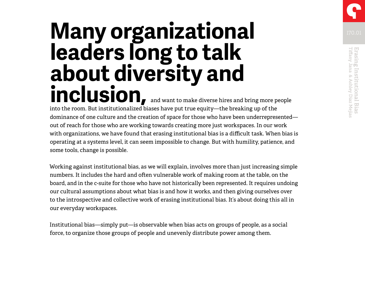# Erasing Institutional Bias<br>Tiffany Jana & Ashley Diaz Mejias Tiffany Jana & Ashley Diaz Mejias Erasing Institutional Bias

# **Many organizational Many organizational leaders long to talk about diversity and inclusion,** and want to make diverse hires and bring more people

into the room. But institutionalized biases have put true equity—the breaking up of the dominance of one culture and the creation of space for those who have been underrepresented out of reach for those who are working towards creating more just workspaces. In our work with organizations, we have found that erasing institutional bias is a difficult task. When bias is operating at a systems level, it can seem impossible to change. But with humility, patience, and some tools, change is possible.

Working against institutional bias, as we will explain, involves more than just increasing simple numbers. It includes the hard and often vulnerable work of making room at the table, on the board, and in the c-suite for those who have not historically been represented. It requires undoing our cultural assumptions about what bias is and how it works, and then giving ourselves over to the introspective and collective work of erasing institutional bias. It's about doing this all in our everyday workspaces.

Institutional bias—simply put—is observable when bias acts on groups of people, as a social force, to organize those groups of people and unevenly distribute power among them.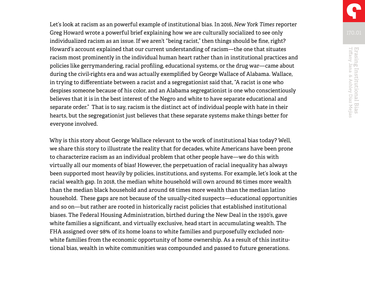Let's look at racism as an powerful example of institutional bias. In 2016, *New York Times* reporter Greg Howard wrote a powerful brief explaining how we are culturally socialized to see only individualized racism as an issue. If we aren't "being racist," then things should be fine, right? Howard's account explained that our current understanding of racism—the one that situates racism most prominently in the individual human heart rather than in institutional practices and policies like gerrymandering, racial profiling, educational systems, or the drug war—came about during the civil-rights era and was actually exemplified by George Wallace of Alabama. Wallace, in trying to differentiate between a racist and a segregationist said that, "A racist is one who despises someone because of his color, and an Alabama segregationist is one who conscientiously believes that it is in the best interest of the Negro and white to have separate educational and separate order." That is to say, racism is the distinct act of individual people with hate in their hearts, but the segregationist just believes that these separate systems make things better for everyone involved.

Why is this story about George Wallace relevant to the work of institutional bias today? Well, we share this story to illustrate the reality that for decades, white Americans have been prone to characterize racism as an individual problem that other people have—we do this with virtually all our moments of bias! However, the perpetuation of racial inequality has always been supported most heavily by policies, institutions, and systems. For example, let's look at the racial wealth gap. In 2018, the median white household will own around 86 times more wealth than the median black household and around 68 times more wealth than the median latino household. These gaps are not because of the usually-cited suspects—educational opportunities and so on—but rather are rooted in historically racist policies that established institutional biases. The Federal Housing Administration, birthed during the New Deal in the 1930's, gave white families a significant, and virtually exclusive, head start in accumulating wealth. The FHA assigned over 98% of its home loans to white families and purposefully excluded nonwhite families from the economic opportunity of home ownership. As a result of this institutional bias, wealth in white communities was compounded and passed to future generations.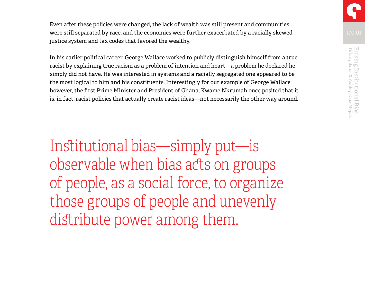Even after these policies were changed, the lack of wealth was still present and communities were still separated by race, and the economics were further exacerbated by a racially skewed justice system and tax codes that favored the wealthy.

In his earlier political career, George Wallace worked to publicly distinguish himself from a true racist by explaining true racism as a problem of intention and heart—a problem he declared he simply did not have. He was interested in systems and a racially segregated one appeared to be the most logical to him and his constituents. Interestingly for our example of George Wallace, however, the first Prime Minister and President of Ghana, Kwame Nkrumah once posited that it is, in fact, racist policies that actually create racist ideas—not necessarily the other way around.

Institutional bias—simply put—is observable when bias acts on groups of people, as a social force, to organize those groups of people and unevenly distribute power among them.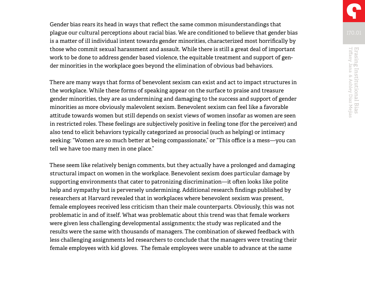Gender bias rears its head in ways that reflect the same common misunderstandings that plague our cultural perceptions about racial bias. We are conditioned to believe that gender bias is a matter of ill individual intent towards gender minorities, characterized most horrifically by those who commit sexual harassment and assault. While there is still a great deal of important work to be done to address gender based violence, the equitable treatment and support of gender minorities in the workplace goes beyond the elimination of obvious bad behaviors.

There are many ways that forms of benevolent sexism can exist and act to impact structures in the workplace. While these forms of speaking appear on the surface to praise and treasure gender minorities, they are as undermining and damaging to the success and support of gender minorities as more obviously malevolent sexism. Benevolent sexism can feel like a favorable attitude towards women but still depends on sexist views of women insofar as women are seen in restricted roles. These feelings are subjectively positive in feeling tone (for the perceiver) and also tend to elicit behaviors typically categorized as prosocial (such as helping) or intimacy seeking: "Women are so much better at being compassionate," or "This office is a mess—you can tell we have too many men in one place."

These seem like relatively benign comments, but they actually have a prolonged and damaging structural impact on women in the workplace. Benevolent sexism does particular damage by supporting environments that cater to patronizing discrimination—it often looks like polite help and sympathy but is perversely undermining. Additional research findings published by researchers at Harvard revealed that in workplaces where benevolent sexism was present, female employees received less criticism than their male counterparts. Obviously, this was not problematic in and of itself. What was problematic about this trend was that female workers were given less challenging developmental assignments; the study was replicated and the results were the same with thousands of managers. The combination of skewed feedback with less challenging assignments led researchers to conclude that the managers were treating their female employees with kid gloves. The female employees were unable to advance at the same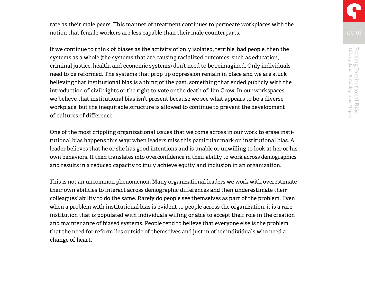rate as their male peers. This manner of treatment continues to permeate workplaces with the notion that female workers are less capable than their male counterparts.

If we continue to think of biases as the activity of only isolated, terrible, bad people, then the systems as a whole (the systems that are causing racialized outcomes, such as education, criminal justice, health, and economic systems) don't need to be reimagined. Only individuals need to be reformed. The systems that prop up oppression remain in place and we are stuck believing that institutional bias is a thing of the past, something that ended publicly with the introduction of civil rights or the right to vote or the death of Jim Crow. In our workspaces, we believe that institutional bias isn't present because we see what appears to be a diverse workplace, but the inequitable structure is allowed to continue to prevent the development of cultures of difference.

One of the most crippling organizational issues that we come across in our work to erase institutional bias happens this way: when leaders miss this particular mark on institutional bias. A leader believes that he or she has good intentions and is unable or unwilling to look at her or his own behaviors. It then translates into overconfidence in their ability to work across demographics and results in a reduced capacity to truly achieve equity and inclusion in an organization.

This is not an uncommon phenomenon. Many organizational leaders we work with overestimate their own abilities to interact across demographic differences and then underestimate their colleagues' ability to do the same. Rarely do people see themselves as part of the problem. Even when a problem with institutional bias is evident to people across the organization, it is a rare institution that is populated with individuals willing or able to accept their role in the creation and maintenance of biased systems. People tend to believe that everyone else is the problem, that the need for reform lies outside of themselves and just in other individuals who need a change of heart.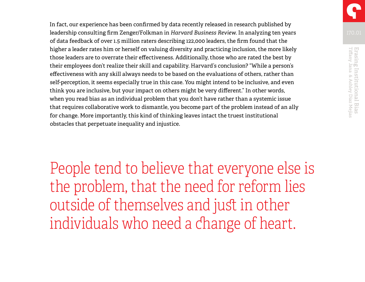In fact, our experience has been confirmed by data recently released in research published by leadership consulting firm Zenger/Folkman in *Harvard Business Review*. In analyzing ten years of data feedback of over 1.5 million raters describing 122,000 leaders, the firm found that the higher a leader rates him or herself on valuing diversity and practicing inclusion, the more likely those leaders are to overrate their effectiveness. Additionally, those who are rated the best by their employees don't realize their skill and capability. Harvard's conclusion? "While a person's effectiveness with any skill always needs to be based on the evaluations of others, rather than self-perception, it seems especially true in this case. You might intend to be inclusive, and even think you are inclusive, but your impact on others might be very different." In other words, when you read bias as an individual problem that you don't have rather than a systemic issue that requires collaborative work to dismantle, you become part of the problem instead of an ally for change. More importantly, this kind of thinking leaves intact the truest institutional obstacles that perpetuate inequality and injustice.

People tend to believe that everyone else is the problem, that the need for reform lies outside of themselves and just in other individuals who need a change of heart.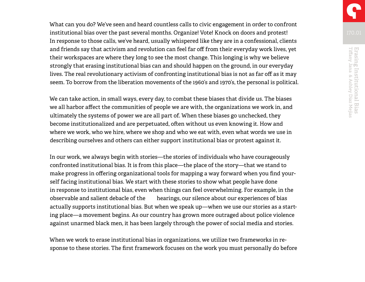What can you do? We've seen and heard countless calls to civic engagement in order to confront institutional bias over the past several months. Organize! Vote! Knock on doors and protest! In response to those calls, we've heard, usually whispered like they are in a confessional, clients and friends say that activism and revolution can feel far off from their everyday work lives, yet their workspaces are where they long to see the most change. This longing is why we believe strongly that erasing institutional bias can and should happen on the ground, in our everyday lives. The real revolutionary activism of confronting institutional bias is not as far off as it may seem. To borrow from the liberation movements of the 1960's and 1970's, the personal is political.

We can take action, in small ways, every day, to combat these biases that divide us. The biases we all harbor affect the communities of people we are with, the organizations we work in, and ultimately the systems of power we are all part of. When these biases go unchecked, they become institutionalized and are perpetuated, often without us even knowing it. How and where we work, who we hire, where we shop and who we eat with, even what words we use in describing ourselves and others can either support institutional bias or protest against it.

In our work, we always begin with stories—the stories of individuals who have courageously confronted institutional bias. It is from this place—the place of the story—that we stand to make progress in offering organizational tools for mapping a way forward when you find yourself facing institutional bias. We start with these stories to show what people have done in response to institutional bias, even when things can feel overwhelming. For example, in the observable and salient debacle of the hearings, our silence about our experiences of bias actually supports institutional bias. But when we speak up—when we use our stories as a starting place—a movement begins. As our country has grown more outraged about police violence against unarmed black men, it has been largely through the power of social media and stories.

When we work to erase institutional bias in organizations, we utilize two frameworks in response to these stories. The first framework focuses on the work you must personally do before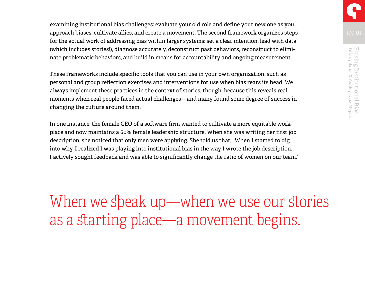examining institutional bias challenges: evaluate your old role and define your new one as you approach biases, cultivate allies, and create a movement. The second framework organizes steps for the actual work of addressing bias within larger systems: set a clear intention, lead with data (which includes stories!), diagnose accurately, deconstruct past behaviors, reconstruct to eliminate problematic behaviors, and build in means for accountability and ongoing measurement.

These frameworks include specific tools that you can use in your own organization, such as personal and group reflection exercises and interventions for use when bias rears its head. We always implement these practices in the context of stories, though, because this reveals real moments when real people faced actual challenges—and many found some degree of success in changing the culture around them.

In one instance, the female CEO of a software firm wanted to cultivate a more equitable workplace and now maintains a 60% female leadership structure. When she was writing her first job description, she noticed that only men were applying. She told us that, "When I started to dig into why, I realized I was playing into institutional bias in the way I wrote the job description. I actively sought feedback and was able to significantly change the ratio of women on our team."

When we speak up—when we use our stories as a starting place—a movement begins.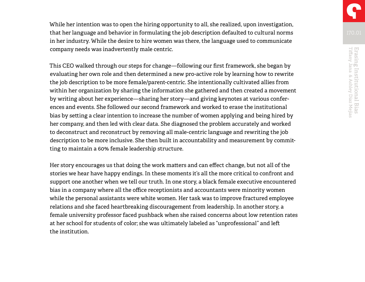While her intention was to open the hiring opportunity to all, she realized, upon investigation, that her language and behavior in formulating the job description defaulted to cultural norms in her industry. While the desire to hire women was there, the language used to communicate company needs was inadvertently male centric.

This CEO walked through our steps for change—following our first framework, she began by evaluating her own role and then determined a new pro-active role by learning how to rewrite the job description to be more female/parent-centric. She intentionally cultivated allies from within her organization by sharing the information she gathered and then created a movement by writing about her experience—sharing her story—and giving keynotes at various conferences and events. She followed our second framework and worked to erase the institutional bias by setting a clear intention to increase the number of women applying and being hired by her company, and then led with clear data. She diagnosed the problem accurately and worked to deconstruct and reconstruct by removing all male-centric language and rewriting the job description to be more inclusive. She then built in accountability and measurement by committing to maintain a 60% female leadership structure.

Her story encourages us that doing the work matters and can effect change, but not all of the stories we hear have happy endings. In these moments it's all the more critical to confront and support one another when we tell our truth. In one story, a black female executive encountered bias in a company where all the office receptionists and accountants were minority women while the personal assistants were white women. Her task was to improve fractured employee relations and she faced heartbreaking discouragement from leadership. In another story, a female university professor faced pushback when she raised concerns about low retention rates at her school for students of color; she was ultimately labeled as "unprofessional" and left the institution.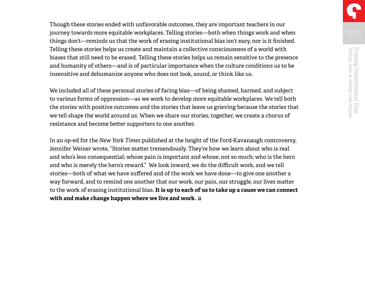Though these stories ended with unfavorable outcomes, they are important teachers in our journey towards more equitable workplaces. Telling stories—both when things work and when things don't—reminds us that the work of erasing institutional bias isn't easy, nor is it finished. Telling these stories helps us create and maintain a collective consciousness of a world with biases that still need to be erased. Telling these stories helps us remain sensitive to the presence and humanity of others—and is of particular importance when the culture conditions us to be insensitive and dehumanize anyone who does not look, sound, or think like us.

We included all of these personal stories of facing bias—of being shamed, harmed, and subject to various forms of oppression—as we work to develop more equitable workplaces. We tell both the stories with positive outcomes and the stories that leave us grieving because the stories that we tell shape the world around us. When we share our stories, together, we create a chorus of resistance and become better supporters to one another.

In an op-ed for the *New York Times* published at the height of the Ford-Kavanaugh controversy, Jennifer Weiner wrote, "Stories matter tremendously. They're how we learn about who is real and who's less consequential; whose pain is important and whose, not so much; who is the hero and who is merely the hero's reward." We look inward, we do the difficult work, and we tell stories—both of what we have suffered and of the work we have done—to give one another a way forward, and to remind one another that our work, our pain, our struggle, our lives matter to the work of erasing institutional bias. **It is up to each of us to take up a cause we can connect with and make change happen where we live and work.**